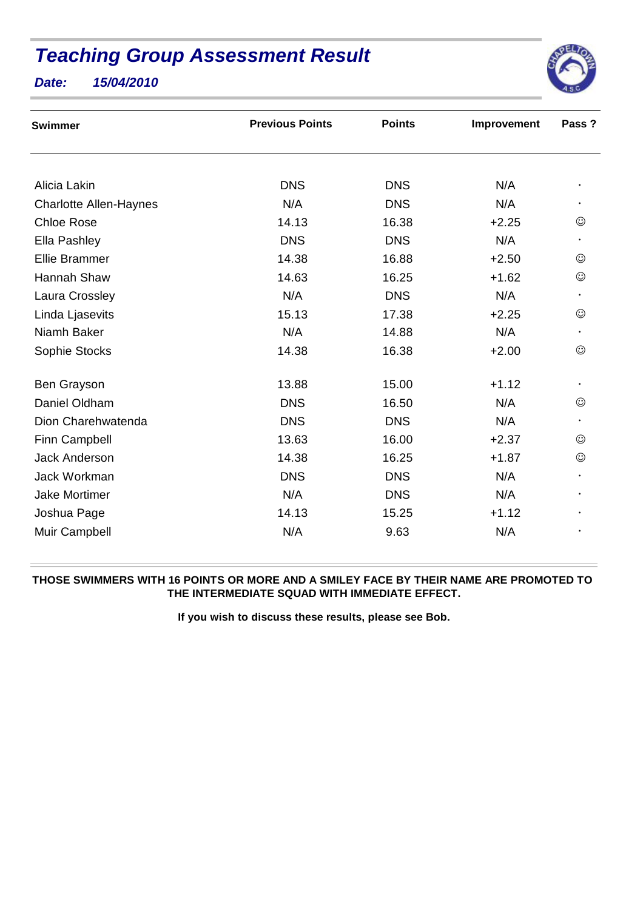## **Teaching Group Assessment Result**





| <b>Swimmer</b>                | <b>Previous Points</b> | <b>Points</b> | Improvement | Pass ?     |
|-------------------------------|------------------------|---------------|-------------|------------|
|                               |                        |               |             |            |
| Alicia Lakin                  | <b>DNS</b>             | <b>DNS</b>    | N/A         |            |
| <b>Charlotte Allen-Haynes</b> | N/A                    | <b>DNS</b>    | N/A         |            |
| <b>Chloe Rose</b>             | 14.13                  | 16.38         | $+2.25$     | ☺          |
| Ella Pashley                  | <b>DNS</b>             | <b>DNS</b>    | N/A         | $\bullet$  |
| <b>Ellie Brammer</b>          | 14.38                  | 16.88         | $+2.50$     | $\odot$    |
| Hannah Shaw                   | 14.63                  | 16.25         | $+1.62$     | $\odot$    |
| Laura Crossley                | N/A                    | <b>DNS</b>    | N/A         |            |
| Linda Ljasevits               | 15.13                  | 17.38         | $+2.25$     | ☺          |
| Niamh Baker                   | N/A                    | 14.88         | N/A         |            |
| Sophie Stocks                 | 14.38                  | 16.38         | $+2.00$     | $_{\odot}$ |
| Ben Grayson                   | 13.88                  | 15.00         | $+1.12$     |            |
| Daniel Oldham                 | <b>DNS</b>             | 16.50         | N/A         | $\odot$    |
| Dion Charehwatenda            | <b>DNS</b>             | <b>DNS</b>    | N/A         |            |
| Finn Campbell                 | 13.63                  | 16.00         | $+2.37$     | $\odot$    |
| <b>Jack Anderson</b>          | 14.38                  | 16.25         | $+1.87$     | $_{\odot}$ |
| Jack Workman                  | <b>DNS</b>             | <b>DNS</b>    | N/A         |            |
| <b>Jake Mortimer</b>          | N/A                    | <b>DNS</b>    | N/A         |            |
| Joshua Page                   | 14.13                  | 15.25         | $+1.12$     |            |
| Muir Campbell                 | N/A                    | 9.63          | N/A         |            |

## **THOSE SWIMMERS WITH 16 POINTS OR MORE AND A SMILEY FACE BY THEIR NAME ARE PROMOTED TO THE INTERMEDIATE SQUAD WITH IMMEDIATE EFFECT.**

**If you wish to discuss these results, please see Bob.**